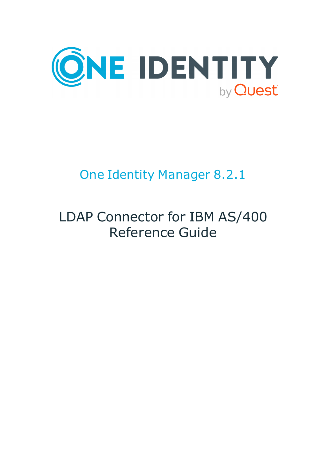

# One Identity Manager 8.2.1

# LDAP Connector for IBM AS/400 Reference Guide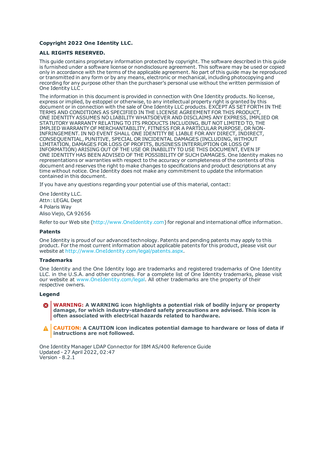#### **Copyright 2022 One Identity LLC.**

#### **ALL RIGHTS RESERVED.**

This guide contains proprietary information protected by copyright. The software described in this guide is furnished under a software license or nondisclosure agreement. This software may be used or copied only in accordance with the terms of the applicable agreement. No part of this guide may be reproduced or transmitted in any form or by any means, electronic or mechanical, including photocopying and recording for any purpose other than the purchaser's personal use without the written permission of One Identity LLC .

The information in this document is provided in connection with One Identity products. No license, express or implied, by estoppel or otherwise, to any intellectual property right is granted by this document or in connection with the sale of One Identity LLC products. EXCEPT AS SET FORTH IN THE TERMS AND CONDITIONS AS SPECIFIED IN THE LICENSE AGREEMENT FOR THIS PRODUCT, ONE IDENTITY ASSUMES NO LIABILITY WHATSOEVER AND DISCLAIMS ANY EXPRESS, IMPLIED OR STATUTORY WARRANTY RELATING TO ITS PRODUCTS INCLUDING, BUT NOT LIMITED TO, THE IMPLIED WARRANTY OF MERCHANTABILITY, FITNESS FOR A PARTICULAR PURPOSE, OR NON-INFRINGEMENT. IN NO EVENT SHALL ONE IDENTITY BE LIABLE FOR ANY DIRECT, INDIRECT, CONSEQUENTIAL, PUNITIVE, SPECIAL OR INCIDENTAL DAMAGES (INCLUDING, WITHOUT LIMITATION, DAMAGES FOR LOSS OF PROFITS, BUSINESS INTERRUPTION OR LOSS OF INFORMATION) ARISING OUT OF THE USE OR INABILITY TO USE THIS DOCUMENT, EVEN IF ONE IDENTITY HAS BEEN ADVISED OF THE POSSIBILITY OF SUCH DAMAGES. One Identity makes no representations or warranties with respect to the accuracy or completeness of the contents of this document and reserves the right to make changes to specifications and product descriptions at any time without notice. One Identity does not make any commitment to update the information contained in this document.

If you have any questions regarding your potential use of this material, contact:

One Identity LLC. Attn: LEGAL Dept 4 Polaris Way Aliso Viejo, CA 92656

Refer to our Web site ([http://www.OneIdentity.com](http://www.oneidentity.com/)) for regional and international office information.

#### **Patents**

One Identity is proud of our advanced technology. Patents and pending patents may apply to this product. For the most current information about applicable patents for this product, please visit our website at [http://www.OneIdentity.com/legal/patents.aspx](http://www.oneidentity.com/legal/patents.aspx).

#### **Trademarks**

One Identity and the One Identity logo are trademarks and registered trademarks of One Identity LLC. in the U.S.A. and other countries. For a complete list of One Identity trademarks, please visit our website at [www.OneIdentity.com/legal](http://www.oneidentity.com/legal). All other trademarks are the property of their respective owners.

#### **Legend**

**WARNING: A WARNING icon highlights a potential risk of bodily injury or property damage, for which industry-standard safety precautions are advised. This icon is often associated with electrical hazards related to hardware.**

**CAUTION: A CAUTION icon indicates potential damage to hardware or loss of data if** A **instructions are not followed.**

One Identity Manager LDAP Connector for IBM AS/400 Reference Guide Updated - 27 April 2022, 02:47 Version - 8.2.1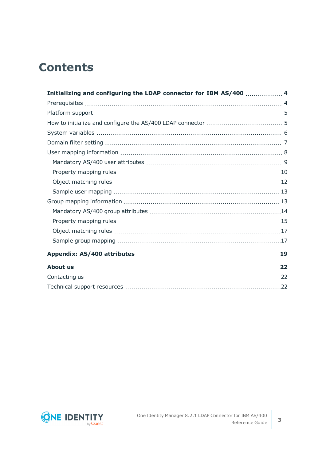## **Contents**

| Initializing and configuring the LDAP connector for IBM AS/400  4 |  |
|-------------------------------------------------------------------|--|
|                                                                   |  |
|                                                                   |  |
|                                                                   |  |
|                                                                   |  |
|                                                                   |  |
|                                                                   |  |
|                                                                   |  |
|                                                                   |  |
|                                                                   |  |
|                                                                   |  |
|                                                                   |  |
|                                                                   |  |
|                                                                   |  |
|                                                                   |  |
|                                                                   |  |
|                                                                   |  |
|                                                                   |  |
|                                                                   |  |
|                                                                   |  |

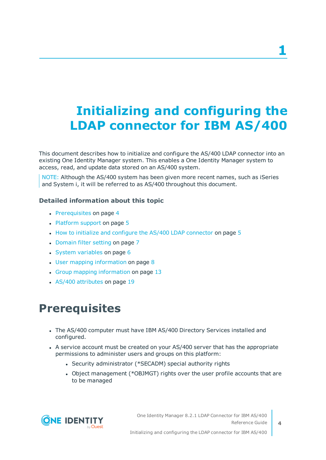# <span id="page-3-0"></span>**Initializing and configuring the LDAP connector for IBM AS/400**

This document describes how to initialize and configure the AS/400 LDAP connector into an existing One Identity Manager system. This enables a One Identity Manager system to access, read, and update data stored on an AS/400 system.

NOTE: Although the AS/400 system has been given more recent names, such as iSeries and System i, it will be referred to as AS/400 throughout this document.

#### **Detailed information about this topic**

- [Prerequisites](#page-3-1) on page 4
- [Platform](#page-4-0) support on page 5
- $\cdot$  How to initialize and configure the AS/400 LDAP [connector](#page-4-1) on page 5
- [Domain](#page-6-0) filter setting on page 7
- $\cdot$  System [variables](#page-5-0) on page 6
- $\cdot$  User mapping [information](#page-7-0) on page 8
- Group mapping [information](#page-12-1) on page 13
- $\cdot$  AS/400 [attributes](#page-18-0) on page 19

# <span id="page-3-1"></span>**Prerequisites**

- The AS/400 computer must have IBM AS/400 Directory Services installed and configured.
- A service account must be created on your AS/400 server that has the appropriate permissions to administer users and groups on this platform:
	- Security administrator (\*SECADM) special authority rights
	- Object management (\*OBJMGT) rights over the user profile accounts that are to be managed

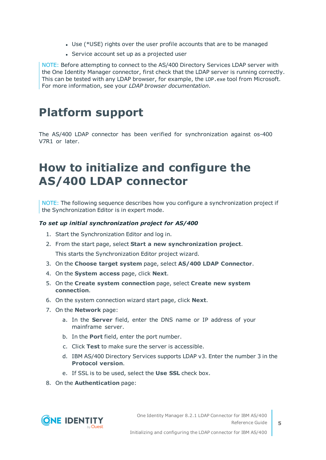- Use (\*USE) rights over the user profile accounts that are to be managed
- Service account set up as a projected user

NOTE: Before attempting to connect to the AS/400 Directory Services LDAP server with the One Identity Manager connector, first check that the LDAP server is running correctly. This can be tested with any LDAP browser, for example, the LDP.exe tool from Microsoft. For more information, see your *LDAP browser documentation*.

### <span id="page-4-0"></span>**Platform support**

The AS/400 LDAP connector has been verified for synchronization against os-400 V7R1 or later.

## <span id="page-4-1"></span>**How to initialize and configure the AS/400 LDAP connector**

NOTE: The following sequence describes how you configure a synchronization project if the Synchronization Editor is in expert mode.

#### *To set up initial synchronization project for AS/400*

- 1. Start the Synchronization Editor and log in.
- 2. From the start page, select **Start a new synchronization project**. This starts the Synchronization Editor project wizard.
- 3. On the **Choose target system** page, select **AS/400 LDAP Connector**.
- 4. On the **System access** page, click **Next**.
- 5. On the **Create system connection** page, select **Create new system connection**.
- 6. On the system connection wizard start page, click **Next**.
- 7. On the **Network** page:
	- a. In the **Server** field, enter the DNS name or IP address of your mainframe server.
	- b. In the **Port** field, enter the port number.
	- c. Click **Test** to make sure the server is accessible.
	- d. IBM AS/400 Directory Services supports LDAP v3. Enter the number 3 in the **Protocol version**.
	- e. If SSL is to be used, select the **Use SSL** check box.
- 8. On the **Authentication** page:

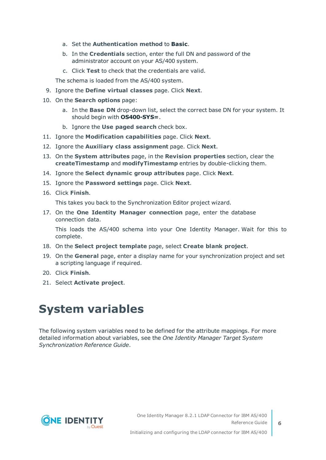- a. Set the **Authentication method** to **Basic**.
- b. In the **Credentials** section, enter the full DN and password of the administrator account on your AS/400 system.
- c. Click **Test** to check that the credentials are valid.

The schema is loaded from the AS/400 system.

- 9. Ignore the **Define virtual classes** page. Click **Next**.
- 10. On the **Search options** page:
	- a. In the **Base DN** drop-down list, select the correct base DN for your system. It should begin with **OS400-SYS=**.
	- b. Ignore the **Use paged search** check box.
- 11. Ignore the **Modification capabilities** page. Click **Next**.
- 12. Ignore the **Auxiliary class assignment** page. Click **Next**.
- 13. On the **System attributes** page, in the **Revision properties** section, clear the **createTimestamp** and **modifyTimestamp** entries by double-clicking them.
- 14. Ignore the **Select dynamic group attributes** page. Click **Next**.
- 15. Ignore the **Password settings** page. Click **Next**.
- 16. Click **Finish**.

This takes you back to the Synchronization Editor project wizard.

17. On the **One Identity Manager connection** page, enter the database connection data.

This loads the AS/400 schema into your One Identity Manager. Wait for this to complete.

- 18. On the **Select project template** page, select **Create blank project**.
- 19. On the **General** page, enter a display name for your synchronization project and set a scripting language if required.
- 20. Click **Finish**.
- <span id="page-5-0"></span>21. Select **Activate project**.

# **System variables**

The following system variables need to be defined for the attribute mappings. For more detailed information about variables, see the *One Identity Manager Target System Synchronization Reference Guide*.

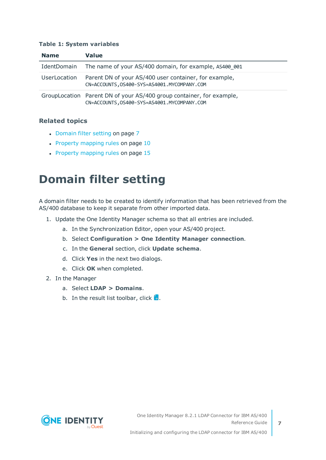#### **Table 1: System variables**

| <b>Name</b>  | <b>Value</b>                                                                                                          |
|--------------|-----------------------------------------------------------------------------------------------------------------------|
| IdentDomain  | The name of your AS/400 domain, for example, AS400 001                                                                |
| UserLocation | Parent DN of your AS/400 user container, for example,<br>CN=ACCOUNTS, 0S400-SYS=AS4001. MYCOMPANY. COM                |
|              | GroupLocation Parent DN of your AS/400 group container, for example,<br>CN=ACCOUNTS, 0S400-SYS=AS4001. MYCOMPANY. COM |

#### **Related topics**

- [Domain](#page-6-0) filter setting on page 7
- $\cdot$  Property [mapping](#page-9-0) rules on page 10
- <span id="page-6-0"></span>• Property [mapping](#page-14-0) rules on page 15

## **Domain filter setting**

A domain filter needs to be created to identify information that has been retrieved from the AS/400 database to keep it separate from other imported data.

- 1. Update the One Identity Manager schema so that all entries are included.
	- a. In the Synchronization Editor, open your AS/400 project.
	- b. Select **Configuration > One Identity Manager connection**.
	- c. In the **General** section, click **Update schema**.
	- d. Click **Yes** in the next two dialogs.
	- e. Click **OK** when completed.
- 2. In the Manager
	- a. Select **LDAP > Domains**.
	- b. In the result list toolbar, click  $\mathbf{1}$ .

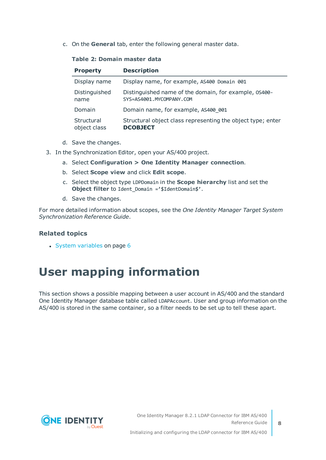c. On the **General** tab, enter the following general master data.

#### **Table 2: Domain master data**

| <b>Property</b>            | <b>Description</b>                                                                |
|----------------------------|-----------------------------------------------------------------------------------|
| Display name               | Display name, for example, AS400 Domain 001                                       |
| Distinguished<br>name      | Distinguished name of the domain, for example, 0S400-<br>SYS=AS4001.MYCOMPANY.COM |
| Domain                     | Domain name, for example, AS400 001                                               |
| Structural<br>object class | Structural object class representing the object type; enter<br><b>DCOBJECT</b>    |

- d. Save the changes.
- 3. In the Synchronization Editor, open your AS/400 project.
	- a. Select **Configuration > One Identity Manager connection**.
	- b. Select **Scope view** and click **Edit scope**.
	- c. Select the object type LDPDomain in the **Scope hierarchy** list and set the **Object filter** to Ident Domain ='\$IdentDomain\$'.
	- d. Save the changes.

For more detailed information about scopes, see the *One Identity Manager Target System Synchronization Reference Guide*.

#### **Related topics**

 $\cdot$  System [variables](#page-5-0) on page 6

## <span id="page-7-0"></span>**User mapping information**

This section shows a possible mapping between a user account in AS/400 and the standard One Identity Manager database table called LDAPAccount. User and group information on the AS/400 is stored in the same container, so a filter needs to be set up to tell these apart.

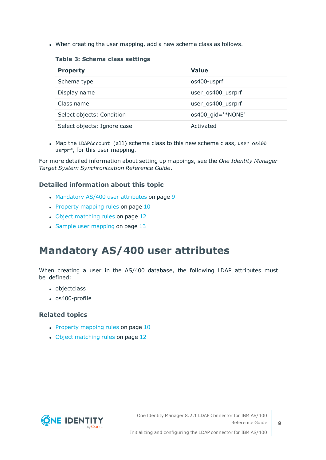• When creating the user mapping, add a new schema class as follows.

**Table 3: Schema class settings**

| <b>Property</b>             | <b>Value</b>      |
|-----------------------------|-------------------|
| Schema type                 | os400-usprf       |
| Display name                | user os400 usrprf |
| Class name                  | user_os400_usrprf |
| Select objects: Condition   | os400_gid='*NONE' |
| Select objects: Ignore case | Activated         |

• Map the LDAPAccount (all) schema class to this new schema class, user os400 usrprf, for this user mapping.

For more detailed information about setting up mappings, see the *One Identity Manager Target System Synchronization Reference Guide*.

#### **Detailed information about this topic**

- [Mandatory](#page-8-0) AS/400 user attributes on page 9
- Property [mapping](#page-9-0) rules on page 10
- Object [matching](#page-11-0) rules on page 12
- $\cdot$  Sample user [mapping](#page-12-0) on page 13

### <span id="page-8-0"></span>**Mandatory AS/400 user attributes**

When creating a user in the AS/400 database, the following LDAP attributes must be defined:

- objectclass
- $\cdot$  os400-profile

#### **Related topics**

- $\cdot$  Property [mapping](#page-9-0) rules on page 10
- Object [matching](#page-11-0) rules on page 12

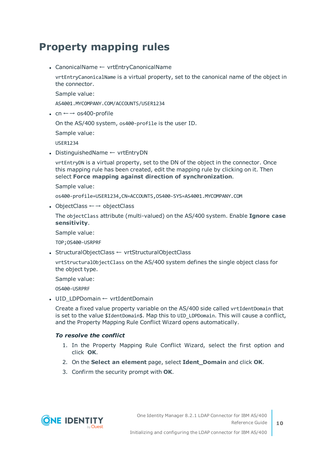### <span id="page-9-0"></span>**Property mapping rules**

• CanonicalName ← vrtEntryCanonicalName

vrtEntryCanonicalName is a virtual property, set to the canonical name of the object in the connector.

Sample value:

AS4001.MYCOMPANY.COM/ACCOUNTS/USER1234

• cn  $\leftarrow$  → os400-profile

On the AS/400 system, os400-profile is the user ID.

Sample value:

USER1234

• DistinguishedName ← vrtEntryDN

vrtEntryDN is a virtual property, set to the DN of the object in the connector. Once this mapping rule has been created, edit the mapping rule by clicking on it. Then select **Force mapping against direction of synchronization**.

Sample value:

os400-profile=USER1234,CN=ACCOUNTS,OS400-SYS=AS4001.MYCOMPANY.COM

• ObjectClass  $\leftarrow \rightarrow$  objectClass

The objectClass attribute (multi-valued) on the AS/400 system. Enable **Ignore case sensitivity**.

Sample value:

TOP;OS400-USRPRF

• StructuralObjectClass ← vrtStructuralObjectClass

vrtStructuralObjectClass on the AS/400 system defines the single object class for the object type.

Sample value:

OS400-USRPRF

• UID LDPDomain ← vrtIdentDomain

Create a fixed value property variable on the AS/400 side called vrtIdentDomain that is set to the value \$IdentDomain\$. Map this to UID\_LDPDomain. This will cause a conflict, and the Property Mapping Rule Conflict Wizard opens automatically.

#### *To resolve the conflict*

- 1. In the Property Mapping Rule Conflict Wizard, select the first option and click **OK**.
- 2. On the **Select an element** page, select **Ident\_Domain** and click **OK**.
- 3. Confirm the security prompt with **OK**.

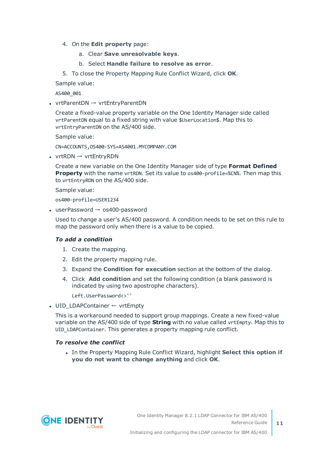- 4. On the **Edit property** page:
	- a. Clear **Save unresolvable keys**.
	- b. Select **Handle failure to resolve as error**.

5. To close the Property Mapping Rule Conflict Wizard, click **OK**.

Sample value:

AS400\_001

• vrtParentDN  $\rightarrow$  vrtEntryParentDN

Create a fixed-value property variable on the One Identity Manager side called vrtParentDN equal to a fixed string with value \$UserLocation\$. Map this to vrtEntryParentDN on the AS/400 side.

Sample value:

CN=ACCOUNTS,OS400-SYS=AS4001.MYCOMPANY.COM

• vrtRDN  $\rightarrow$  vrtEntryRDN

Create a new variable on the One Identity Manager side of type **Format Defined Property** with the name vrtRDN. Set its value to os400-profile=%CN%. Then map this to vrtEntryRDN on the AS/400 side.

Sample value:

os400-profile=USER1234

• userPassword  $\rightarrow$  os400-password

Used to change a user's AS/400 password. A condition needs to be set on this rule to map the password only when there is a value to be copied.

#### *To add a condition*

- 1. Create the mapping.
- 2. Edit the property mapping rule.
- 3. Expand the **Condition for execution** section at the bottom of the dialog.
- 4. Click **Add condition** and set the following condition (a blank password is indicated by using two apostrophe characters).

Left.UserPassword<>''

• UID LDAPContainer ← vrtEmpty

This is a workaround needed to support group mappings. Create a new fixed-value variable on the AS/400 side of type **String** with no value called vrtEmpty. Map this to UID LDAPContainer. This generates a property mapping rule conflict.

#### *To resolve the conflict*

<sup>l</sup> In the Property Mapping Rule Conflict Wizard, highlight **Select this option if you do not want to change anything** and click **OK**.

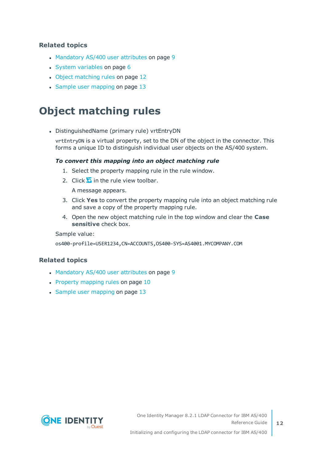#### **Related topics**

- [Mandatory](#page-8-0) AS/400 user attributes on page 9
- System [variables](#page-5-0) on page 6
- Object [matching](#page-11-0) rules on page 12
- Sample user [mapping](#page-12-0) on page 13

### <span id="page-11-0"></span>**Object matching rules**

• DistinguishedName (primary rule) vrtEntryDN

vrtEntryDN is a virtual property, set to the DN of the object in the connector. This forms a unique ID to distinguish individual user objects on the AS/400 system.

#### *To convert this mapping into an object matching rule*

- 1. Select the property mapping rule in the rule window.
- 2. Click  $\bullet$  in the rule view toolbar.

A message appears.

- 3. Click **Yes** to convert the property mapping rule into an object matching rule and save a copy of the property mapping rule.
- 4. Open the new object matching rule in the top window and clear the **Case sensitive** check box.

Sample value:

os400-profile=USER1234,CN=ACCOUNTS,OS400-SYS=AS4001.MYCOMPANY.COM

#### **Related topics**

- [Mandatory](#page-8-0) AS/400 user attributes on page 9
- Property [mapping](#page-9-0) rules on page 10
- Sample user [mapping](#page-12-0) on page 13

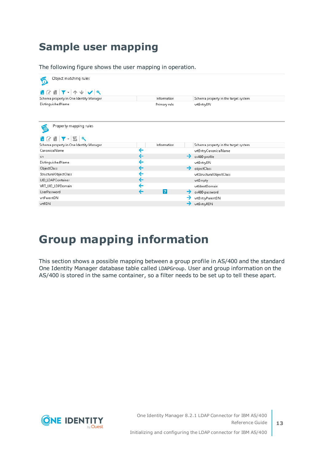### <span id="page-12-0"></span>**Sample user mapping**

The following figure shows the user mapping in operation.

| Object matching rules<br>Ø                                |              |              |                                      |
|-----------------------------------------------------------|--------------|--------------|--------------------------------------|
| ■C■下-  个↓ V   ベ                                           |              |              |                                      |
| Schema property in One Identity Manager                   |              | Information  | Schema property in the target system |
| DistinguishedName                                         |              | Primary rule | vrtEntryDN                           |
| Property mapping rules<br>$\circ$<br><b>+ 2 8 7 - 5 *</b> |              |              |                                      |
| Schema property in One Identity Manager                   |              | Information  | Schema property in the target system |
| CanonicalName                                             | ←            |              | vrtEntryCanonicalName                |
| cn.                                                       | ←            |              | os400-profile                        |
| DistinguishedName                                         | ←            |              | vrtEntryDN                           |
| ObjectClass                                               | ←            |              | objectClass                          |
| StructuralObjectClass                                     | ←            |              | vrtStructuralObjectClass             |
| UID_LDAPContainer                                         | ←            |              | vrtEmpty                             |
| VRT_UID_LDPDomain                                         | $\leftarrow$ |              | vrtldentDomain                       |
| UserPassword                                              |              | <u> ? </u>   | os400-password                       |
| vrtParentDN                                               |              |              | vrtEntryParentDN                     |
| vrtRDN                                                    |              |              | vrtEntryRDN                          |

## <span id="page-12-1"></span>**Group mapping information**

This section shows a possible mapping between a group profile in AS/400 and the standard One Identity Manager database table called LDAPGroup. User and group information on the AS/400 is stored in the same container, so a filter needs to be set up to tell these apart.

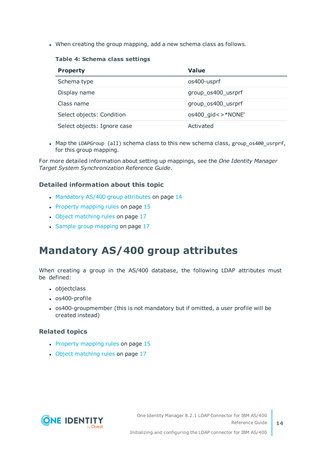• When creating the group mapping, add a new schema class as follows.

**Table 4: Schema class settings**

| <b>Property</b>             | Value              |
|-----------------------------|--------------------|
| Schema type                 | os400-usprf        |
| Display name                | group_os400_usrprf |
| Class name                  | group_os400_usrprf |
| Select objects: Condition   | os400 gid<>*NONE'  |
| Select objects: Ignore case | Activated          |

• Map the LDAPGroup (all) schema class to this new schema class, group os400 usrprf, for this group mapping.

For more detailed information about setting up mappings, see the *One Identity Manager Target System Synchronization Reference Guide*.

#### **Detailed information about this topic**

- [Mandatory](#page-13-0) AS/400 group attributes on page 14
- Property [mapping](#page-14-0) rules on page 15
- Object [matching](#page-16-0) rules on page 17
- Sample group [mapping](#page-16-1) on page 17

### <span id="page-13-0"></span>**Mandatory AS/400 group attributes**

When creating a group in the AS/400 database, the following LDAP attributes must be defined:

- objectclass
- $\cdot$  os400-profile
- os400-groupmember (this is not mandatory but if omitted, a user profile will be created instead)

#### **Related topics**

- $\cdot$  Property [mapping](#page-14-0) rules on page 15
- Object [matching](#page-16-0) rules on page 17

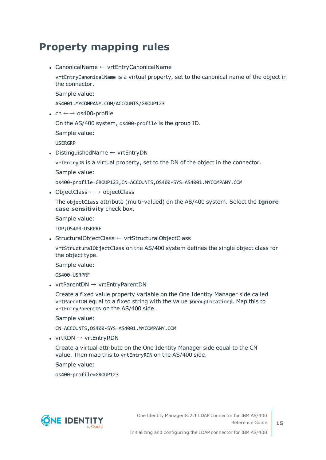### <span id="page-14-0"></span>**Property mapping rules**

• CanonicalName ← vrtEntryCanonicalName

vrtEntryCanonicalName is a virtual property, set to the canonical name of the object in the connector.

Sample value:

AS4001.MYCOMPANY.COM/ACCOUNTS/GROUP123

• cn  $\leftarrow$  → os400-profile

On the AS/400 system, os400-profile is the group ID.

Sample value:

USERGRP

• DistinguishedName ← vrtEntryDN

vrtEntryDN is a virtual property, set to the DN of the object in the connector.

Sample value:

os400-profile=GROUP123,CN=ACCOUNTS,OS400-SYS=AS4001.MYCOMPANY.COM

• ObjectClass  $\leftarrow \rightarrow$  objectClass

The objectClass attribute (multi-valued) on the AS/400 system. Select the **Ignore case sensitivity** check box.

Sample value:

TOP;OS400-USRPRF

• StructuralObjectClass ← vrtStructuralObjectClass

vrtStructuralObjectClass on the AS/400 system defines the single object class for the object type.

Sample value:

OS400-USRPRF

• vrtParentDN  $\rightarrow$  vrtEntryParentDN

Create a fixed value property variable on the One Identity Manager side called vrtParentDN equal to a fixed string with the value \$GroupLocation\$. Map this to vrtEntryParentDN on the AS/400 side.

Sample value:

CN=ACCOUNTS,OS400-SYS=AS4001.MYCOMPANY.COM

• vrtRDN  $\rightarrow$  vrtEntryRDN

Create a virtual attribute on the One Identity Manager side equal to the CN value. Then map this to vrtEntryRDN on the AS/400 side.

Sample value:

os400-profile=GROUP123

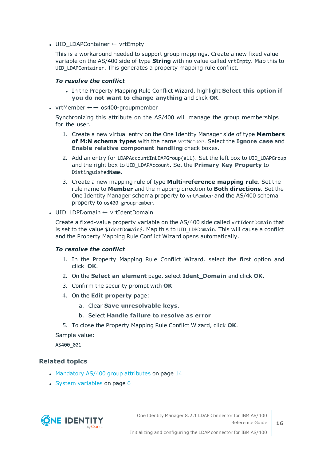• UID\_LDAPContainer ← vrtEmpty

This is a workaround needed to support group mappings. Create a new fixed value variable on the AS/400 side of type **String** with no value called vrtEmpty. Map this to UID\_LDAPContainer. This generates a property mapping rule conflict.

#### *To resolve the conflict*

- <sup>l</sup> In the Property Mapping Rule Conflict Wizard, highlight **Select this option if you do not want to change anything** and click **OK**.
- vrtMember  $\leftarrow$  → os400-groupmember

Synchronizing this attribute on the AS/400 will manage the group memberships for the user.

- 1. Create a new virtual entry on the One Identity Manager side of type **Members of M:N schema types** with the name vrtMember. Select the **Ignore case** and **Enable relative component handling** check boxes.
- 2. Add an entry for LDAPAccountInLDAPGroup(all). Set the left box to UID LDAPGroup and the right box to UID\_LDAPAccount. Set the **Primary Key Property** to DistinguishedName.
- 3. Create a new mapping rule of type **Multi-reference mapping rule**. Set the rule name to **Member** and the mapping direction to **Both directions**. Set the One Identity Manager schema property to vrtMember and the AS/400 schema property to os400-groupmember.
- UID LDPDomain ← vrtIdentDomain

Create a fixed-value property variable on the AS/400 side called vrtIdentDomain that is set to the value \$IdentDomain\$. Map this to UID\_LDPDomain. This will cause a conflict and the Property Mapping Rule Conflict Wizard opens automatically.

#### *To resolve the conflict*

- 1. In the Property Mapping Rule Conflict Wizard, select the first option and click **OK**.
- 2. On the **Select an element** page, select **Ident\_Domain** and click **OK**.
- 3. Confirm the security prompt with **OK**.
- 4. On the **Edit property** page:
	- a. Clear **Save unresolvable keys**.
	- b. Select **Handle failure to resolve as error**.
- 5. To close the Property Mapping Rule Conflict Wizard, click **OK**.

Sample value:

AS400\_001

#### **Related topics**

- [Mandatory](#page-13-0) AS/400 group attributes on page 14
- $\cdot$  System [variables](#page-5-0) on page 6

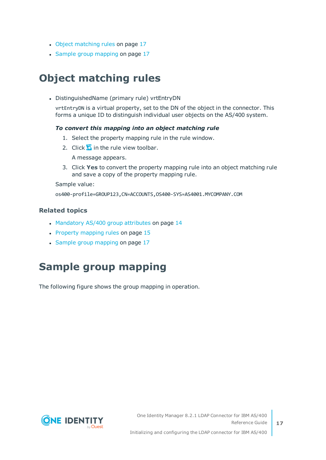- Object [matching](#page-16-0) rules on page 17
- Sample group [mapping](#page-16-1) on page 17

### <span id="page-16-0"></span>**Object matching rules**

• DistinguishedName (primary rule) vrtEntryDN

vrtEntryDN is a virtual property, set to the DN of the object in the connector. This forms a unique ID to distinguish individual user objects on the AS/400 system.

#### *To convert this mapping into an object matching rule*

- 1. Select the property mapping rule in the rule window.
- 2. Click  $\overline{\mathbf{a}}$  in the rule view toolbar.

A message appears.

3. Click **Yes** to convert the property mapping rule into an object matching rule and save a copy of the property mapping rule.

Sample value:

os400-profile=GROUP123,CN=ACCOUNTS,OS400-SYS=AS4001.MYCOMPANY.COM

#### **Related topics**

- [Mandatory](#page-13-0) AS/400 group attributes on page 14
- Property [mapping](#page-14-0) rules on page 15
- <span id="page-16-1"></span>• Sample group [mapping](#page-16-1) on page 17

### **Sample group mapping**

The following figure shows the group mapping in operation.

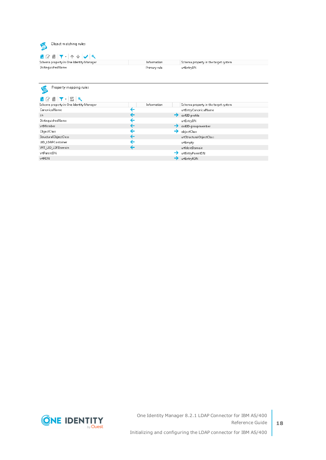

**18**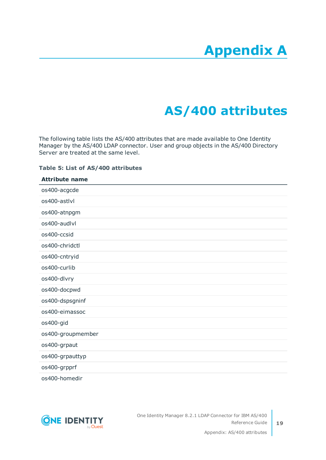# **Appendix A**

# **Appendix:AS/400 attributes**

<span id="page-18-0"></span>The following table lists the AS/400 attributes that are made available to One Identity Manager by the AS/400 LDAP connector. User and group objects in the AS/400 Directory Server are treated at the same level.

#### **Table 5: List of AS/400 attributes**

### **Attribute name** os400-acgcde os400-astlvl os400-atnpgm os400-audlvl os400-ccsid os400-chridctl os400-cntryid os400-curlib os400-dlvry os400-docpwd os400-dspsgninf os400-eimassoc os400-gid os400-groupmember os400-grpaut os400-grpauttyp os400-grpprf os400-homedir

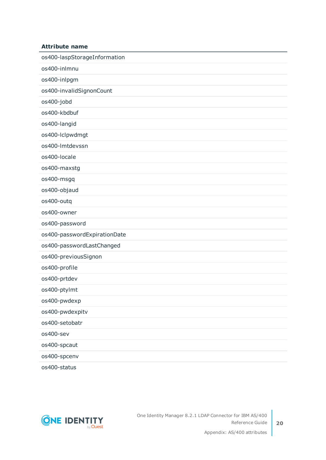#### **Attribute name**

| os400-laspStorageInformation |
|------------------------------|
| os400-inlmnu                 |
| os400-inlpgm                 |
| os400-invalidSignonCount     |
| os400-jobd                   |
| os400-kbdbuf                 |
| os400-langid                 |
| os400-lclpwdmgt              |
| os400-lmtdevssn              |
| os400-locale                 |
| os400-maxstg                 |
| os400-msgq                   |
| os400-objaud                 |
| os400-outq                   |
| os400-owner                  |
| os400-password               |
| os400-passwordExpirationDate |
| os400-passwordLastChanged    |
| os400-previousSignon         |
| os400-profile                |
| os400-prtdev                 |
| os400-ptylmt                 |
| os400-pwdexp                 |
| os400-pwdexpitv              |
| os400-setobatr               |
| os400-sev                    |
| os400-spcaut                 |
| os400-spcenv                 |
| os400-status                 |

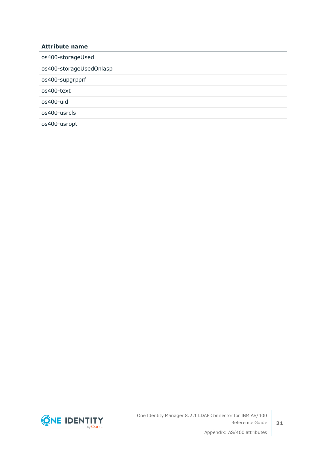| <b>Attribute name</b>   |
|-------------------------|
| os400-storageUsed       |
| os400-storageUsedOnlasp |
| os400-supgrpprf         |
| os400-text              |
| os400-uid               |
| os400-usrcls            |
| os400-usropt            |